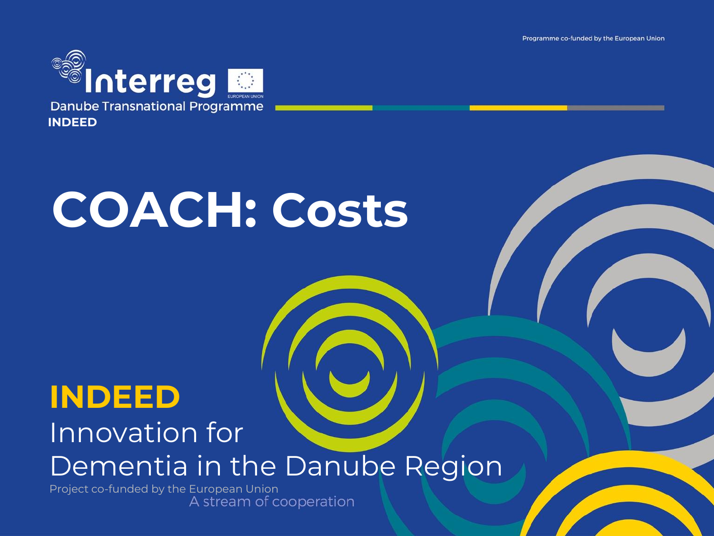Programme co-funded by the European Union



# **COACH: Costs**

## **INDEED**

#### Innovation for Dementia in the Danube Region

Project co-funded by the European Union<br>A stream of cooperation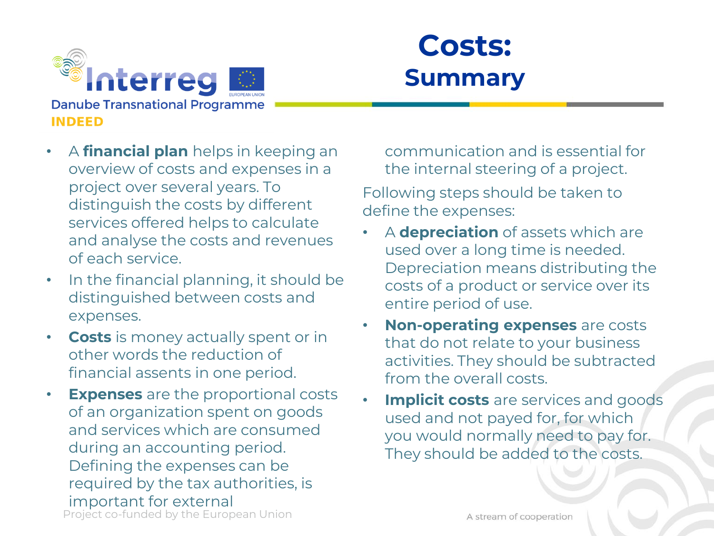

### **Costs: Summary**

- A **financial plan** helps in keeping an overview of costs and expenses in a project over several years. To distinguish the costs by different services offered helps to calculate and analyse the costs and revenues of each service.
- In the financial planning, it should be distinguished between costs and expenses.
- **Costs** is money actually spent or in other words the reduction of financial assents in one period.
- Project co-funded by the European Union **Expenses** are the proportional costs of an organization spent on goods and services which are consumed during an accounting period. Defining the expenses can be required by the tax authorities, is important for external

communication and is essential for the internal steering of a project.

Following steps should be taken to define the expenses:

- A **depreciation** of assets which are used over a long time is needed. Depreciation means distributing the costs of a product or service over its entire period of use.
- **Non-operating expenses** are costs that do not relate to your business activities. They should be subtracted from the overall costs.
- **Implicit costs** are services and goods used and not payed for, for which you would normally need to pay for. They should be added to the costs.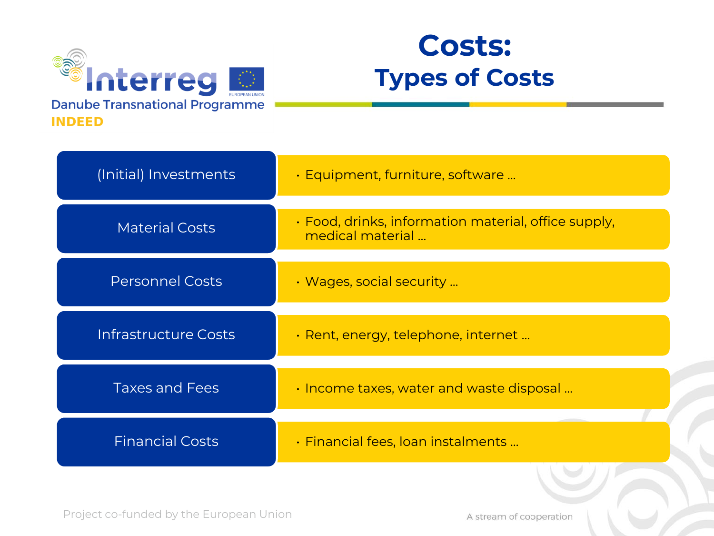

### **Costs: Types of Costs**

| (Initial) Investments  | · Equipment, furniture, software                                               |
|------------------------|--------------------------------------------------------------------------------|
| <b>Material Costs</b>  | $\cdot$ Food, drinks, information material, office supply,<br>medical material |
| <b>Personnel Costs</b> | • Wages, social security                                                       |
| Infrastructure Costs   | $\cdot$ Rent, energy, telephone, internet                                      |
| <b>Taxes and Fees</b>  | • Income taxes, water and waste disposal                                       |
| <b>Financial Costs</b> | $\cdot$ Financial fees, loan instalments                                       |

A stream of cooperation